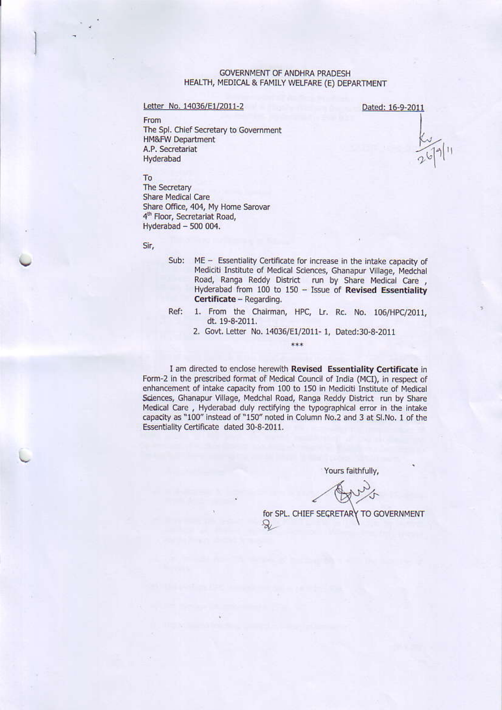### **GOVERNMENT OF ANDHRA PRADESH** HEALTH, MEDICAL & FAMILY WELFARE (E) DEPARTMENT

#### Letter No. 14036/E1/2011-2

Dated: 16-9-2011

From The Spl. Chief Secretary to Government **HM&FW Department** A.P. Secretariat Hyderabad

### To

The Secretary **Share Medical Care** Share Office, 404, My Home Sarovar 4<sup>th</sup> Floor, Secretariat Road, Hyderabad - 500 004.

#### Sir,

- Sub: ME - Essentiality Certificate for increase in the intake capacity of Mediciti Institute of Medical Sciences, Ghanapur Village, Medchal Road, Ranga Reddy District run by Share Medical Care,<br>Hyderabad from 100 to 150 - Issue of Revised Essentiality Certificate - Regarding.
- 1. From the Chairman, HPC, Lr. Rc. No. 106/HPC/2011, Ref: dt. 19-8-2011.
	- 2. Govt. Letter No. 14036/E1/2011- 1, Dated:30-8-2011 \*\*\*

I am directed to enclose herewith Revised Essentiality Certificate in Form-2 in the prescribed format of Medical Council of India (MCI), in respect of enhancement of intake capacity from 100 to 150 in Mediciti Institute of Medical Sciences, Ghanapur Village, Medchal Road, Ranga Reddy District run by Share Medical Care, Hyderabad duly rectifying the typographical error in the intake capacity as "100" instead of "150" noted in Column No.2 and 3 at Sl.No. 1 of the Essentiality Certificate dated 30-8-2011.

Yours faithfully,

for SPL. CHIEF SECRETARY TO GOVERNMENT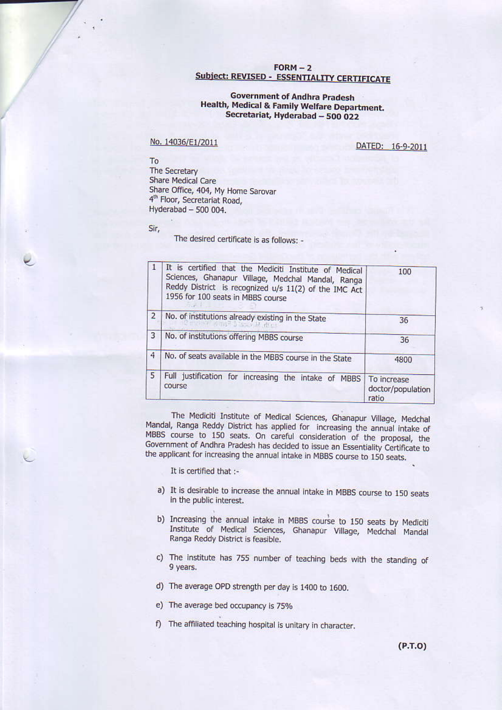# $FORM - 2$ **Subject: REVISED - ESSENTIALITY CERTIFICATE**

## **Government of Andhra Pradesh** Health, Medical & Family Welfare Department. Secretariat, Hyderabad - 500 022

## No. 14036/E1/2011

DATED: 16-9-2011

To The Secretary Share Medical Care Share Office, 404, My Home Sarovar 4<sup>th</sup> Floor, Secretariat Road, Hyderabad - 500 004.

Sir,

The desired certificate is as follows: -

| $\mathbf{1}$   | It is certified that the Mediciti Institute of Medical<br>Sciences, Ghanapur Village, Medchal Mandal, Ranga<br>Reddy District is recognized u/s 11(2) of the IMC Act<br>1956 for 100 seats in MBBS course | 100                                       |
|----------------|-----------------------------------------------------------------------------------------------------------------------------------------------------------------------------------------------------------|-------------------------------------------|
| $\overline{2}$ | No. of institutions already existing in the State<br>mit in Empelling                                                                                                                                     | 36                                        |
| 3              | No. of institutions offering MBBS course                                                                                                                                                                  | 36                                        |
| 4              | No. of seats available in the MBBS course in the State                                                                                                                                                    | 4800                                      |
| 5              | Full justification for increasing the intake of MBBS<br>course                                                                                                                                            | To increase<br>doctor/population<br>ratio |

The Mediciti Institute of Medical Sciences, Ghanapur Village, Medchal Mandal, Ranga Reddy District has applied for increasing the annual intake of MBBS course to 150 seats. On careful consideration of the proposal, the Government of Andhra Pradesh has decided to issue an Essentiality Certificate to the applicant for increasing the annual intake in MBBS course to 150 seats.

It is certified that :-

- a) It is desirable to increase the annual intake in MBBS course to 150 seats in the public interest.
- b) Increasing the annual intake in MBBS course to 150 seats by Mediciti Institute of Medical Sciences, Ghanapur Village, Medchal Mandal Ranga Reddy District is feasible.
- c) The institute has 755 number of teaching beds with the standing of 9 years.
- d) The average OPD strength per day is 1400 to 1600.
- e) The average bed occupancy is 75%
- f) The affiliated teaching hospital is unitary in character.

 $(P.T.O)$